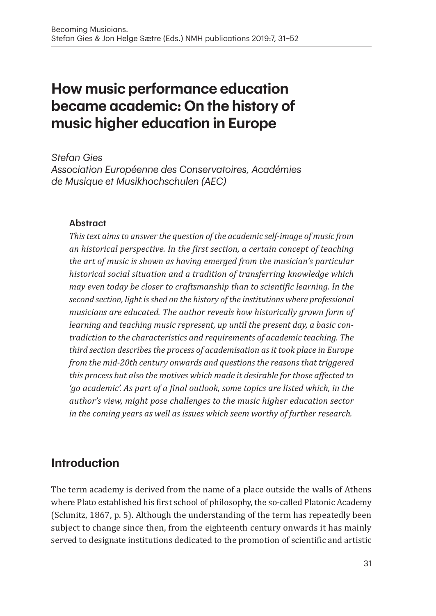# **How music performance education became academic: On the history of music higher education in Europe**

*Stefan Gies*

*Association Européenne des Conservatoires, Académies de Musique et Musikhochschulen (AEC)*

#### **Abstract**

*This text aims to answer the question of the academic self-image of music from an historical perspective. In the first section, a certain concept of teaching the art of music is shown as having emerged from the musician's particular historical social situation and a tradition of transferring knowledge which may even today be closer to craftsmanship than to scientific learning. In the second section, light is shed on the history of the institutions where professional musicians are educated. The author reveals how historically grown form of learning and teaching music represent, up until the present day, a basic contradiction to the characteristics and requirements of academic teaching. The third section describes the process of academisation as it took place in Europe from the mid-20th century onwards and questions the reasons that triggered this process but also the motives which made it desirable for those affected to*  'go academic'. As part of a final outlook, some topics are listed which, in the *author's view, might pose challenges to the music higher education sector in the coming years as well as issues which seem worthy of further research.*

### **Introduction**

The term academy is derived from the name of a place outside the walls of Athens where Plato established his first school of philosophy, the so-called Platonic Academy (Schmitz, 1867, p. 5). Although the understanding of the term has repeatedly been subject to change since then, from the eighteenth century onwards it has mainly served to designate institutions dedicated to the promotion of scientific and artistic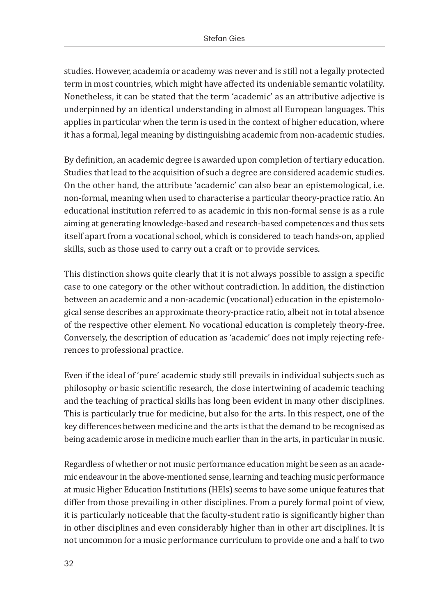studies. However, academia or academy was never and is still not a legally protected term in most countries, which might have affected its undeniable semantic volatility. Nonetheless, it can be stated that the term 'academic' as an attributive adjective is underpinned by an identical understanding in almost all European languages. This applies in particular when the term is used in the context of higher education, where it has a formal, legal meaning by distinguishing academic from non-academic studies.

By definition, an academic degree is awarded upon completion of tertiary education. Studies that lead to the acquisition of such a degree are considered academic studies. On the other hand, the attribute 'academic' can also bear an epistemological, i.e. non-formal, meaning when used to characterise a particular theory-practice ratio. An educational institution referred to as academic in this non-formal sense is as a rule aiming at generating knowledge-based and research-based competences and thus sets itself apart from a vocational school, which is considered to teach hands-on, applied skills, such as those used to carry out a craft or to provide services.

This distinction shows quite clearly that it is not always possible to assign a specific case to one category or the other without contradiction. In addition, the distinction between an academic and a non-academic (vocational) education in the epistemological sense describes an approximate theory-practice ratio, albeit not in total absence of the respective other element. No vocational education is completely theory-free. Conversely, the description of education as 'academic' does not imply rejecting references to professional practice.

Even if the ideal of 'pure' academic study still prevails in individual subjects such as philosophy or basic scientific research, the close intertwining of academic teaching and the teaching of practical skills has long been evident in many other disciplines. This is particularly true for medicine, but also for the arts. In this respect, one of the key differences between medicine and the arts is that the demand to be recognised as being academic arose in medicine much earlier than in the arts, in particular in music.

Regardless of whether or not music performance education might be seen as an academic endeavour in the above-mentioned sense, learning and teaching music performance at music Higher Education Institutions (HEIs) seems to have some unique features that differ from those prevailing in other disciplines. From a purely formal point of view, it is particularly noticeable that the faculty-student ratio is significantly higher than in other disciplines and even considerably higher than in other art disciplines. It is not uncommon for a music performance curriculum to provide one and a half to two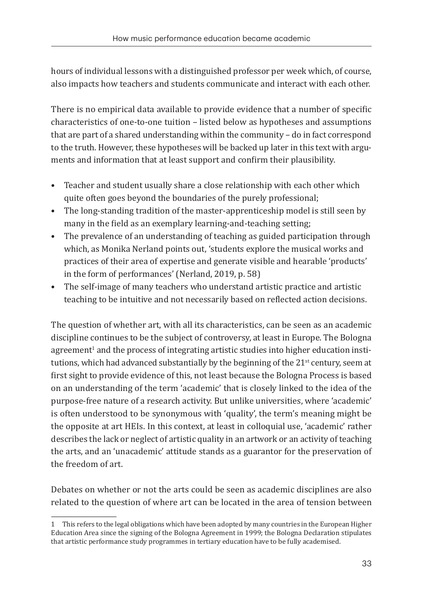hours of individual lessons with a distinguished professor per week which, of course, also impacts how teachers and students communicate and interact with each other.

There is no empirical data available to provide evidence that a number of specific characteristics of one-to-one tuition – listed below as hypotheses and assumptions that are part of a shared understanding within the community – do in fact correspond to the truth. However, these hypotheses will be backed up later in this text with arguments and information that at least support and confirm their plausibility.

- Teacher and student usually share a close relationship with each other which quite often goes beyond the boundaries of the purely professional;
- The long-standing tradition of the master-apprenticeship model is still seen by many in the field as an exemplary learning-and-teaching setting;
- The prevalence of an understanding of teaching as guided participation through which, as Monika Nerland points out, 'students explore the musical works and practices of their area of expertise and generate visible and hearable 'products' in the form of performances' (Nerland, 2019, p. 58)
- The self-image of many teachers who understand artistic practice and artistic teaching to be intuitive and not necessarily based on reflected action decisions.

The question of whether art, with all its characteristics, can be seen as an academic discipline continues to be the subject of controversy, at least in Europe. The Bologna agreement<sup>1</sup> and the process of integrating artistic studies into higher education institutions, which had advanced substantially by the beginning of the  $21<sup>st</sup>$  century, seem at first sight to provide evidence of this, not least because the Bologna Process is based on an understanding of the term 'academic' that is closely linked to the idea of the purpose-free nature of a research activity. But unlike universities, where 'academic' is often understood to be synonymous with 'quality', the term's meaning might be the opposite at art HEIs. In this context, at least in colloquial use, 'academic' rather describes the lack or neglect of artistic quality in an artwork or an activity of teaching the arts, and an 'unacademic' attitude stands as a guarantor for the preservation of the freedom of art.

Debates on whether or not the arts could be seen as academic disciplines are also related to the question of where art can be located in the area of tension between

<sup>1</sup> This refers to the legal obligations which have been adopted by many countries in the European Higher Education Area since the signing of the Bologna Agreement in 1999; the Bologna Declaration stipulates that artistic performance study programmes in tertiary education have to be fully academised.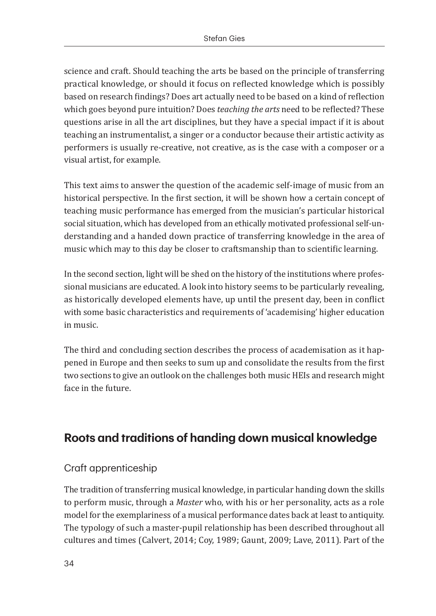science and craft. Should teaching the arts be based on the principle of transferring practical knowledge, or should it focus on reflected knowledge which is possibly based on research findings? Does art actually need to be based on a kind of reflection which goes beyond pure intuition? Does *teaching the arts* need to be reflected? These questions arise in all the art disciplines, but they have a special impact if it is about teaching an instrumentalist, a singer or a conductor because their artistic activity as performers is usually re-creative, not creative, as is the case with a composer or a visual artist, for example.

This text aims to answer the question of the academic self-image of music from an historical perspective. In the first section, it will be shown how a certain concept of teaching music performance has emerged from the musician's particular historical social situation, which has developed from an ethically motivated professional self-understanding and a handed down practice of transferring knowledge in the area of music which may to this day be closer to craftsmanship than to scientific learning.

In the second section, light will be shed on the history of the institutions where professional musicians are educated. A look into history seems to be particularly revealing, as historically developed elements have, up until the present day, been in conflict with some basic characteristics and requirements of 'academising' higher education in music.

The third and concluding section describes the process of academisation as it happened in Europe and then seeks to sum up and consolidate the results from the first two sections to give an outlook on the challenges both music HEIs and research might face in the future.

# **Roots and traditions of handing down musical knowledge**

#### Craft apprenticeship

The tradition of transferring musical knowledge, in particular handing down the skills to perform music, through a *Master* who, with his or her personality, acts as a role model for the exemplariness of a musical performance dates back at least to antiquity. The typology of such a master-pupil relationship has been described throughout all cultures and times (Calvert, 2014; Coy, 1989; Gaunt, 2009; Lave, 2011). Part of the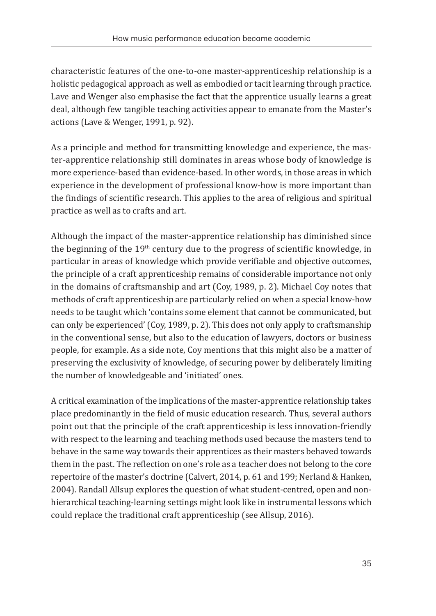characteristic features of the one-to-one master-apprenticeship relationship is a holistic pedagogical approach as well as embodied or tacit learning through practice. Lave and Wenger also emphasise the fact that the apprentice usually learns a great deal, although few tangible teaching activities appear to emanate from the Master's actions (Lave & Wenger, 1991, p. 92).

As a principle and method for transmitting knowledge and experience, the master-apprentice relationship still dominates in areas whose body of knowledge is more experience-based than evidence-based. In other words, in those areas in which experience in the development of professional know-how is more important than the findings of scientific research. This applies to the area of religious and spiritual practice as well as to crafts and art.

Although the impact of the master-apprentice relationship has diminished since the beginning of the  $19<sup>th</sup>$  century due to the progress of scientific knowledge, in particular in areas of knowledge which provide verifiable and objective outcomes, the principle of a craft apprenticeship remains of considerable importance not only in the domains of craftsmanship and art (Coy, 1989, p. 2). Michael Coy notes that methods of craft apprenticeship are particularly relied on when a special know-how needs to be taught which 'contains some element that cannot be communicated, but can only be experienced' (Coy, 1989, p. 2). This does not only apply to craftsmanship in the conventional sense, but also to the education of lawyers, doctors or business people, for example. As a side note, Coy mentions that this might also be a matter of preserving the exclusivity of knowledge, of securing power by deliberately limiting the number of knowledgeable and 'initiated' ones.

A critical examination of the implications of the master-apprentice relationship takes place predominantly in the field of music education research. Thus, several authors point out that the principle of the craft apprenticeship is less innovation-friendly with respect to the learning and teaching methods used because the masters tend to behave in the same way towards their apprentices as their masters behaved towards them in the past. The reflection on one's role as a teacher does not belong to the core repertoire of the master's doctrine (Calvert, 2014, p. 61 and 199; Nerland & Hanken, 2004). Randall Allsup explores the question of what student-centred, open and nonhierarchical teaching-learning settings might look like in instrumental lessons which could replace the traditional craft apprenticeship (see Allsup, 2016).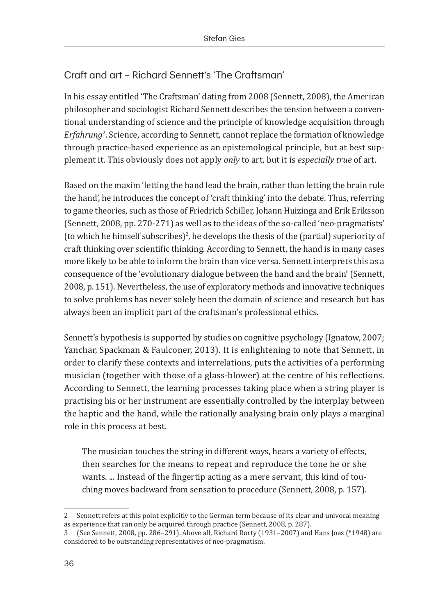### Craft and art – Richard Sennett's 'The Craftsman'

In his essay entitled 'The Craftsman' dating from 2008 (Sennett, 2008), the American philosopher and sociologist Richard Sennett describes the tension between a conventional understanding of science and the principle of knowledge acquisition through *Erfahrung*<sup>2</sup> . Science, according to Sennett, cannot replace the formation of knowledge through practice-based experience as an epistemological principle, but at best supplement it. This obviously does not apply *only* to art, but it is *especially true* of art.

Based on the maxim 'letting the hand lead the brain, rather than letting the brain rule the hand', he introduces the concept of 'craft thinking' into the debate. Thus, referring to game theories, such as those of Friedrich Schiller, Johann Huizinga and Erik Eriksson (Sennett, 2008, pp. 270-271) as well as to the ideas of the so-called 'neo-pragmatists' (to which he himself subscribes) $^3$ , he develops the thesis of the (partial) superiority of craft thinking over scientific thinking. According to Sennett, the hand is in many cases more likely to be able to inform the brain than vice versa. Sennett interprets this as a consequence of the 'evolutionary dialogue between the hand and the brain' (Sennett, 2008, p. 151). Nevertheless, the use of exploratory methods and innovative techniques to solve problems has never solely been the domain of science and research but has always been an implicit part of the craftsman's professional ethics.

Sennett's hypothesis is supported by studies on cognitive psychology (Ignatow, 2007; Yanchar, Spackman & Faulconer, 2013). It is enlightening to note that Sennett, in order to clarify these contexts and interrelations, puts the activities of a performing musician (together with those of a glass-blower) at the centre of his reflections. According to Sennett, the learning processes taking place when a string player is practising his or her instrument are essentially controlled by the interplay between the haptic and the hand, while the rationally analysing brain only plays a marginal role in this process at best.

The musician touches the string in different ways, hears a variety of effects, then searches for the means to repeat and reproduce the tone he or she wants. ... Instead of the fingertip acting as a mere servant, this kind of touching moves backward from sensation to procedure (Sennett, 2008, p. 157).

<sup>2</sup> Sennett refers at this point explicitly to the German term because of its clear and univocal meaning as experience that can only be acquired through practice (Sennett, 2008, p. 287).

<sup>3</sup>  (See Sennett, 2008, pp. 286–291). Above all, Richard Rorty (1931–2007) and Hans Joas (\*1948) are considered to be outstanding representatives of neo-pragmatism.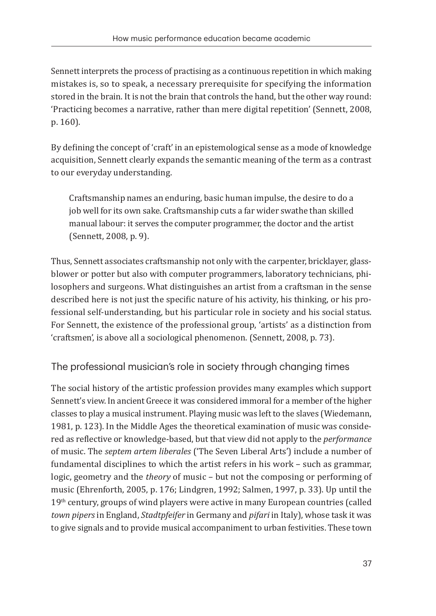Sennett interprets the process of practising as a continuous repetition in which making mistakes is, so to speak, a necessary prerequisite for specifying the information stored in the brain. It is not the brain that controls the hand, but the other way round: 'Practicing becomes a narrative, rather than mere digital repetition' (Sennett, 2008, p. 160).

By defining the concept of 'craft' in an epistemological sense as a mode of knowledge acquisition, Sennett clearly expands the semantic meaning of the term as a contrast to our everyday understanding.

Craftsmanship names an enduring, basic human impulse, the desire to do a job well for its own sake. Craftsmanship cuts a far wider swathe than skilled manual labour: it serves the computer programmer, the doctor and the artist (Sennett, 2008, p. 9).

Thus, Sennett associates craftsmanship not only with the carpenter, bricklayer, glassblower or potter but also with computer programmers, laboratory technicians, philosophers and surgeons. What distinguishes an artist from a craftsman in the sense described here is not just the specific nature of his activity, his thinking, or his professional self-understanding, but his particular role in society and his social status. For Sennett, the existence of the professional group, 'artists' as a distinction from 'craftsmen', is above all a sociological phenomenon. (Sennett, 2008, p. 73).

The professional musician's role in society through changing times

The social history of the artistic profession provides many examples which support Sennett's view. In ancient Greece it was considered immoral for a member of the higher classes to play a musical instrument. Playing music was left to the slaves (Wiedemann, 1981, p. 123). In the Middle Ages the theoretical examination of music was considered as reflective or knowledge-based, but that view did not apply to the *performance* of music. The *septem artem liberales* ('The Seven Liberal Arts') include a number of fundamental disciplines to which the artist refers in his work – such as grammar, logic, geometry and the *theory* of music – but not the composing or performing of music (Ehrenforth, 2005, p. 176; Lindgren, 1992; Salmen, 1997, p. 33). Up until the 19<sup>th</sup> century, groups of wind players were active in many European countries (called *town pipers* in England, *Stadtpfeifer* in Germany and *pifari* in Italy), whose task it was to give signals and to provide musical accompaniment to urban festivities. These town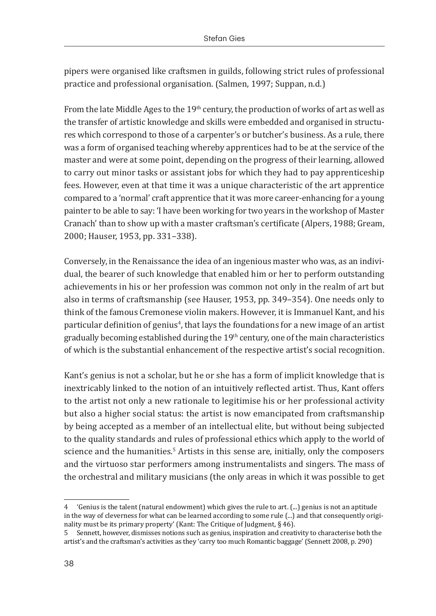pipers were organised like craftsmen in guilds, following strict rules of professional practice and professional organisation. (Salmen, 1997; Suppan, n.d.)

From the late Middle Ages to the  $19<sup>th</sup>$  century, the production of works of art as well as the transfer of artistic knowledge and skills were embedded and organised in structures which correspond to those of a carpenter's or butcher's business. As a rule, there was a form of organised teaching whereby apprentices had to be at the service of the master and were at some point, depending on the progress of their learning, allowed to carry out minor tasks or assistant jobs for which they had to pay apprenticeship fees. However, even at that time it was a unique characteristic of the art apprentice compared to a 'normal' craft apprentice that it was more career-enhancing for a young painter to be able to say: 'I have been working for two years in the workshop of Master Cranach' than to show up with a master craftsman's certificate (Alpers, 1988; Gream, 2000; Hauser, 1953, pp. 331–338).

Conversely, in the Renaissance the idea of an ingenious master who was, as an individual, the bearer of such knowledge that enabled him or her to perform outstanding achievements in his or her profession was common not only in the realm of art but also in terms of craftsmanship (see Hauser, 1953, pp. 349–354). One needs only to think of the famous Cremonese violin makers. However, it is Immanuel Kant, and his particular definition of genius<sup>4</sup>, that lays the foundations for a new image of an artist gradually becoming established during the  $19<sup>th</sup>$  century, one of the main characteristics of which is the substantial enhancement of the respective artist's social recognition.

Kant's genius is not a scholar, but he or she has a form of implicit knowledge that is inextricably linked to the notion of an intuitively reflected artist. Thus, Kant offers to the artist not only a new rationale to legitimise his or her professional activity but also a higher social status: the artist is now emancipated from craftsmanship by being accepted as a member of an intellectual elite, but without being subjected to the quality standards and rules of professional ethics which apply to the world of science and the humanities.<sup>5</sup> Artists in this sense are, initially, only the composers and the virtuoso star performers among instrumentalists and singers. The mass of the orchestral and military musicians (the only areas in which it was possible to get

<sup>4</sup>  'Genius is the talent (natural endowment) which gives the rule to art. (...) genius is not an aptitude in the way of cleverness for what can be learned according to some rule (...) and that consequently originality must be its primary property' (Kant: The Critique of Judgment, § 46).

<sup>5</sup>  Sennett, however, dismisses notions such as genius, inspiration and creativity to characterise both the artist's and the craftsman's activities as they 'carry too much Romantic baggage' (Sennett 2008, p. 290)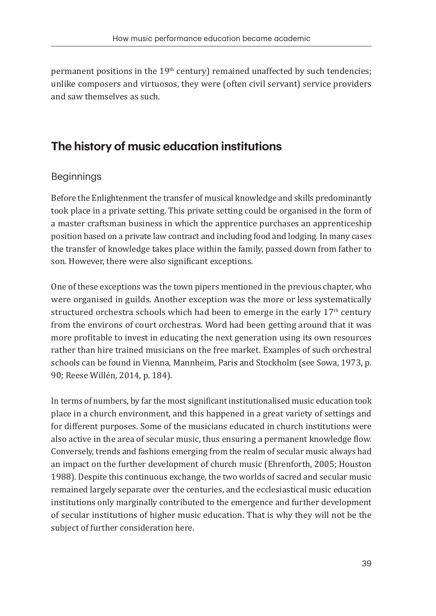permanent positions in the 19<sup>th</sup> century) remained unaffected by such tendencies; unlike composers and virtuosos, they were (often civil servant) service providers and saw themselves as such.

## **The history of music education institutions**

#### Beginnings

Before the Enlightenment the transfer of musical knowledge and skills predominantly took place in a private setting. This private setting could be organised in the form of a master craftsman business in which the apprentice purchases an apprenticeship position based on a private law contract and including food and lodging. In many cases the transfer of knowledge takes place within the family, passed down from father to son. However, there were also significant exceptions.

One of these exceptions was the town pipers mentioned in the previous chapter, who were organised in guilds. Another exception was the more or less systematically structured orchestra schools which had been to emerge in the early  $17<sup>th</sup>$  century from the environs of court orchestras. Word had been getting around that it was more profitable to invest in educating the next generation using its own resources rather than hire trained musicians on the free market. Examples of such orchestral schools can be found in Vienna, Mannheim, Paris and Stockholm (see Sowa, 1973, p. 90; Reese Willén, 2014, p. 184).

In terms of numbers, by far the most significant institutionalised music education took place in a church environment, and this happened in a great variety of settings and for different purposes. Some of the musicians educated in church institutions were also active in the area of secular music, thus ensuring a permanent knowledge flow. Conversely, trends and fashions emerging from the realm of secular music always had an impact on the further development of church music (Ehrenforth, 2005; Houston 1988). Despite this continuous exchange, the two worlds of sacred and secular music remained largely separate over the centuries, and the ecclesiastical music education institutions only marginally contributed to the emergence and further development of secular institutions of higher music education. That is why they will not be the subject of further consideration here.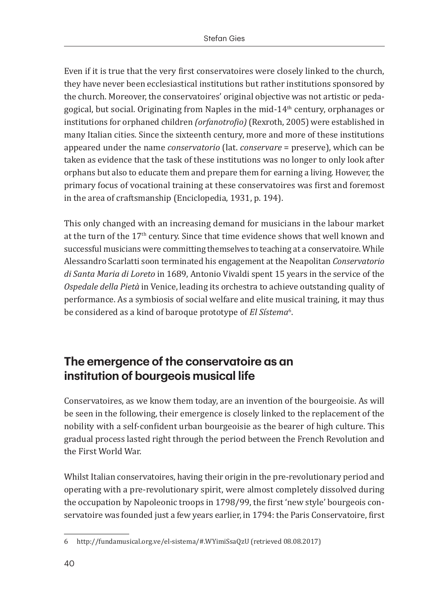Even if it is true that the very first conservatoires were closely linked to the church, they have never been ecclesiastical institutions but rather institutions sponsored by the church. Moreover, the conservatoires' original objective was not artistic or pedagogical, but social. Originating from Naples in the mid-14th century, orphanages or institutions for orphaned children *(orfanotrofio)* (Rexroth, 2005) were established in many Italian cities. Since the sixteenth century, more and more of these institutions appeared under the name *conservatorio* (lat. *conservare* = preserve), which can be taken as evidence that the task of these institutions was no longer to only look after orphans but also to educate them and prepare them for earning a living. However, the primary focus of vocational training at these conservatoires was first and foremost in the area of craftsmanship (Enciclopedia, 1931, p. 194).

This only changed with an increasing demand for musicians in the labour market at the turn of the  $17<sup>th</sup>$  century. Since that time evidence shows that well known and successful musicians were committing themselves to teaching at a conservatoire. While Alessandro Scarlatti soon terminated his engagement at the Neapolitan *Conservatorio di Santa Maria di Loreto* in 1689, Antonio Vivaldi spent 15 years in the service of the *Ospedale della Pietà* in Venice, leading its orchestra to achieve outstanding quality of performance. As a symbiosis of social welfare and elite musical training, it may thus be considered as a kind of baroque prototype of *El Sístema*<sup>6</sup> .

# **The emergence of the conservatoire as an institution of bourgeois musical life**

Conservatoires, as we know them today, are an invention of the bourgeoisie. As will be seen in the following, their emergence is closely linked to the replacement of the nobility with a self-confident urban bourgeoisie as the bearer of high culture. This gradual process lasted right through the period between the French Revolution and the First World War.

Whilst Italian conservatoires, having their origin in the pre-revolutionary period and operating with a pre-revolutionary spirit, were almost completely dissolved during the occupation by Napoleonic troops in 1798/99, the first 'new style' bourgeois conservatoire was founded just a few years earlier, in 1794: the Paris Conservatoire, first

<sup>6</sup>  http://fundamusical.org.ve/el-sistema/#.WYimiSsaQzU (retrieved 08.08.2017)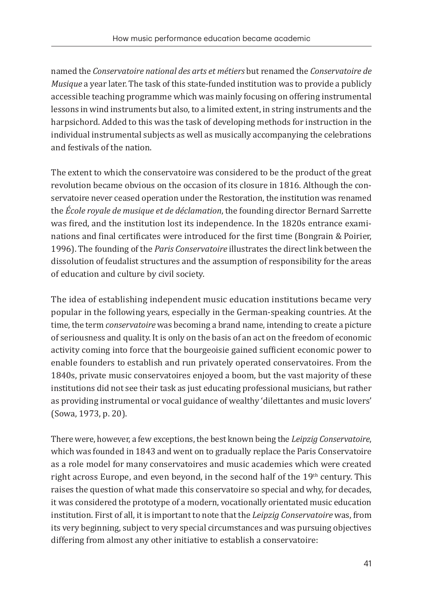named the *Conservatoire national des arts et métiers* but renamed the *Conservatoire de Musique* a year later. The task of this state-funded institution was to provide a publicly accessible teaching programme which was mainly focusing on offering instrumental lessons in wind instruments but also, to a limited extent, in string instruments and the harpsichord. Added to this was the task of developing methods for instruction in the individual instrumental subjects as well as musically accompanying the celebrations and festivals of the nation.

The extent to which the conservatoire was considered to be the product of the great revolution became obvious on the occasion of its closure in 1816. Although the conservatoire never ceased operation under the Restoration, the institution was renamed the *École royale de musique et de déclamation*, the founding director Bernard Sarrette was fired, and the institution lost its independence. In the 1820s entrance examinations and final certificates were introduced for the first time (Bongrain & Poirier, 1996). The founding of the *Paris Conservatoire* illustrates the direct link between the dissolution of feudalist structures and the assumption of responsibility for the areas of education and culture by civil society.

The idea of establishing independent music education institutions became very popular in the following years, especially in the German-speaking countries. At the time, the term *conservatoire* was becoming a brand name, intending to create a picture of seriousness and quality. It is only on the basis of an act on the freedom of economic activity coming into force that the bourgeoisie gained sufficient economic power to enable founders to establish and run privately operated conservatoires. From the 1840s, private music conservatoires enjoyed a boom, but the vast majority of these institutions did not see their task as just educating professional musicians, but rather as providing instrumental or vocal guidance of wealthy 'dilettantes and music lovers' (Sowa, 1973, p. 20).

There were, however, a few exceptions, the best known being the *Leipzig Conservatoire*, which was founded in 1843 and went on to gradually replace the Paris Conservatoire as a role model for many conservatoires and music academies which were created right across Europe, and even beyond, in the second half of the  $19<sup>th</sup>$  century. This raises the question of what made this conservatoire so special and why, for decades, it was considered the prototype of a modern, vocationally orientated music education institution. First of all, it is important to note that the *Leipzig Conservatoire* was, from its very beginning, subject to very special circumstances and was pursuing objectives differing from almost any other initiative to establish a conservatoire: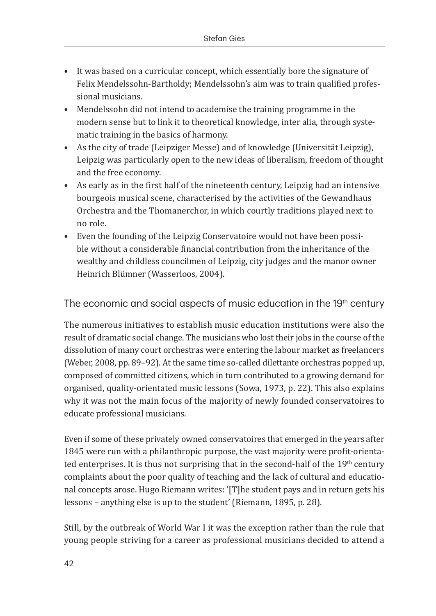- It was based on a curricular concept, which essentially bore the signature of Felix Mendelssohn-Bartholdy; Mendelssohn's aim was to train qualified professional musicians.
- Mendelssohn did not intend to academise the training programme in the modern sense but to link it to theoretical knowledge, inter alia, through systematic training in the basics of harmony.
- As the city of trade (Leipziger Messe) and of knowledge (Universität Leipzig), Leipzig was particularly open to the new ideas of liberalism, freedom of thought and the free economy.
- As early as in the first half of the nineteenth century, Leipzig had an intensive bourgeois musical scene, characterised by the activities of the Gewandhaus Orchestra and the Thomanerchor, in which courtly traditions played next to no role.
- Even the founding of the Leipzig Conservatoire would not have been possible without a considerable financial contribution from the inheritance of the wealthy and childless councilmen of Leipzig, city judges and the manor owner Heinrich Blümner (Wasserloos, 2004).

The economic and social aspects of music education in the 19<sup>th</sup> century

The numerous initiatives to establish music education institutions were also the result of dramatic social change. The musicians who lost their jobs in the course of the dissolution of many court orchestras were entering the labour market as freelancers (Weber, 2008, pp. 89–92). At the same time so-called dilettante orchestras popped up, composed of committed citizens, which in turn contributed to a growing demand for organised, quality-orientated music lessons (Sowa, 1973, p. 22). This also explains why it was not the main focus of the majority of newly founded conservatoires to educate professional musicians.

Even if some of these privately owned conservatoires that emerged in the years after 1845 were run with a philanthropic purpose, the vast majority were profit-orientated enterprises. It is thus not surprising that in the second-half of the  $19<sup>th</sup>$  century complaints about the poor quality of teaching and the lack of cultural and educational concepts arose. Hugo Riemann writes: '[T]he student pays and in return gets his lessons – anything else is up to the student' (Riemann, 1895, p. 28).

Still, by the outbreak of World War I it was the exception rather than the rule that young people striving for a career as professional musicians decided to attend a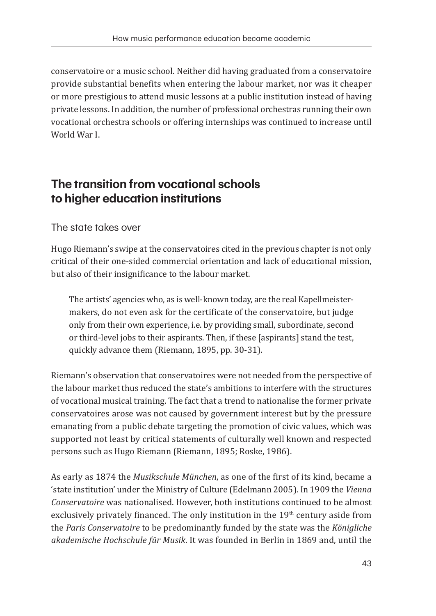conservatoire or a music school. Neither did having graduated from a conservatoire provide substantial benefits when entering the labour market, nor was it cheaper or more prestigious to attend music lessons at a public institution instead of having private lessons. In addition, the number of professional orchestras running their own vocational orchestra schools or offering internships was continued to increase until World War I.

### **The transition from vocational schools to higher education institutions**

The state takes over

Hugo Riemann's swipe at the conservatoires cited in the previous chapter is not only critical of their one-sided commercial orientation and lack of educational mission, but also of their insignificance to the labour market.

The artists' agencies who, as is well-known today, are the real Kapellmeistermakers, do not even ask for the certificate of the conservatoire, but judge only from their own experience, i.e. by providing small, subordinate, second or third-level jobs to their aspirants. Then, if these [aspirants] stand the test, quickly advance them (Riemann, 1895, pp. 30-31).

Riemann's observation that conservatoires were not needed from the perspective of the labour market thus reduced the state's ambitions to interfere with the structures of vocational musical training. The fact that a trend to nationalise the former private conservatoires arose was not caused by government interest but by the pressure emanating from a public debate targeting the promotion of civic values, which was supported not least by critical statements of culturally well known and respected persons such as Hugo Riemann (Riemann, 1895; Roske, 1986).

As early as 1874 the *Musikschule München*, as one of the first of its kind, became a 'state institution' under the Ministry of Culture (Edelmann 2005). In 1909 the *Vienna Conservatoire* was nationalised. However, both institutions continued to be almost exclusively privately financed. The only institution in the 19<sup>th</sup> century aside from the *Paris Conservatoire* to be predominantly funded by the state was the *Königliche akademische Hochschule für Musik*. It was founded in Berlin in 1869 and, until the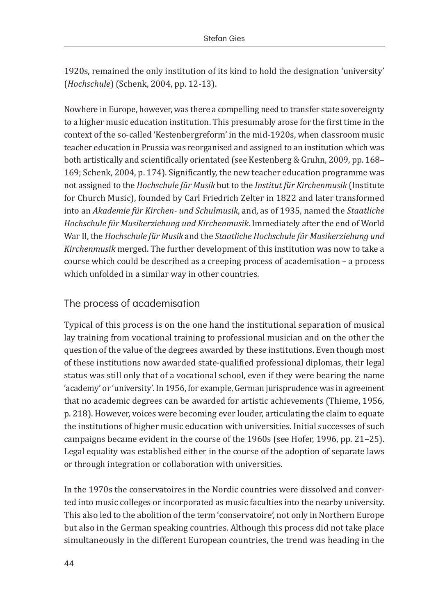1920s, remained the only institution of its kind to hold the designation 'university' (*Hochschule*) (Schenk, 2004, pp. 12-13).

Nowhere in Europe, however, was there a compelling need to transfer state sovereignty to a higher music education institution. This presumably arose for the first time in the context of the so-called 'Kestenbergreform' in the mid-1920s, when classroom music teacher education in Prussia was reorganised and assigned to an institution which was both artistically and scientifically orientated (see Kestenberg & Gruhn, 2009, pp. 168– 169; Schenk, 2004, p. 174). Significantly, the new teacher education programme was not assigned to the *Hochschule für Musik* but to the *Institut für Kirchenmusik* (Institute for Church Music), founded by Carl Friedrich Zelter in 1822 and later transformed into an *Akademie für Kirchen- und Schulmusik*, and, as of 1935, named the *Staatliche Hochschule für Musikerziehung und Kirchenmusik*. Immediately after the end of World War II, the *Hochschule für Musik* and the *Staatliche Hochschule für Musikerziehung und Kirchenmusik* merged. The further development of this institution was now to take a course which could be described as a creeping process of academisation – a process which unfolded in a similar way in other countries.

#### The process of academisation

Typical of this process is on the one hand the institutional separation of musical lay training from vocational training to professional musician and on the other the question of the value of the degrees awarded by these institutions. Even though most of these institutions now awarded state-qualified professional diplomas, their legal status was still only that of a vocational school, even if they were bearing the name 'academy' or 'university'. In 1956, for example, German jurisprudence was in agreement that no academic degrees can be awarded for artistic achievements (Thieme, 1956, p. 218). However, voices were becoming ever louder, articulating the claim to equate the institutions of higher music education with universities. Initial successes of such campaigns became evident in the course of the 1960s (see Hofer, 1996, pp. 21–25). Legal equality was established either in the course of the adoption of separate laws or through integration or collaboration with universities.

In the 1970s the conservatoires in the Nordic countries were dissolved and converted into music colleges or incorporated as music faculties into the nearby university. This also led to the abolition of the term 'conservatoire', not only in Northern Europe but also in the German speaking countries. Although this process did not take place simultaneously in the different European countries, the trend was heading in the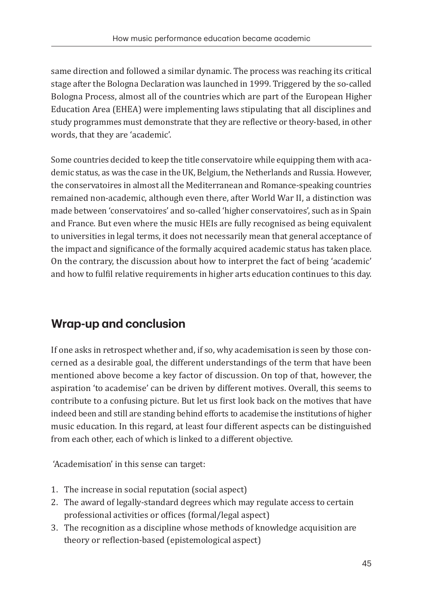same direction and followed a similar dynamic. The process was reaching its critical stage after the Bologna Declaration was launched in 1999. Triggered by the so-called Bologna Process, almost all of the countries which are part of the European Higher Education Area (EHEA) were implementing laws stipulating that all disciplines and study programmes must demonstrate that they are reflective or theory-based, in other words, that they are 'academic'.

Some countries decided to keep the title conservatoire while equipping them with academic status, as was the case in the UK, Belgium, the Netherlands and Russia. However, the conservatoires in almost all the Mediterranean and Romance-speaking countries remained non-academic, although even there, after World War II, a distinction was made between 'conservatoires' and so-called 'higher conservatoires', such as in Spain and France. But even where the music HEIs are fully recognised as being equivalent to universities in legal terms, it does not necessarily mean that general acceptance of the impact and significance of the formally acquired academic status has taken place. On the contrary, the discussion about how to interpret the fact of being 'academic' and how to fulfil relative requirements in higher arts education continues to this day.

# **Wrap-up and conclusion**

If one asks in retrospect whether and, if so, why academisation is seen by those concerned as a desirable goal, the different understandings of the term that have been mentioned above become a key factor of discussion. On top of that, however, the aspiration 'to academise' can be driven by different motives. Overall, this seems to contribute to a confusing picture. But let us first look back on the motives that have indeed been and still are standing behind efforts to academise the institutions of higher music education. In this regard, at least four different aspects can be distinguished from each other, each of which is linked to a different objective.

'Academisation' in this sense can target:

- 1. The increase in social reputation (social aspect)
- 2. The award of legally-standard degrees which may regulate access to certain professional activities or offices (formal/legal aspect)
- 3. The recognition as a discipline whose methods of knowledge acquisition are theory or reflection-based (epistemological aspect)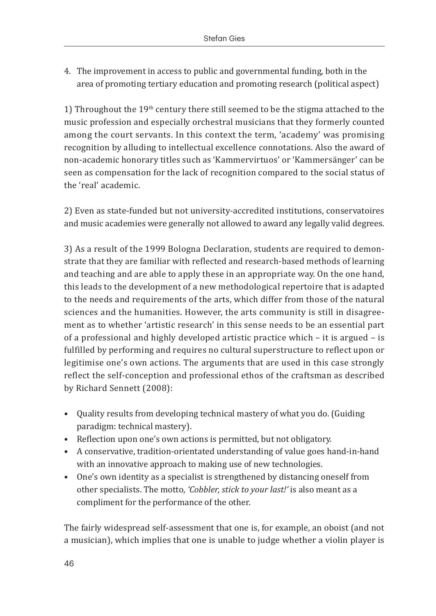4. The improvement in access to public and governmental funding, both in the area of promoting tertiary education and promoting research (political aspect)

1) Throughout the  $19<sup>th</sup>$  century there still seemed to be the stigma attached to the music profession and especially orchestral musicians that they formerly counted among the court servants. In this context the term, 'academy' was promising recognition by alluding to intellectual excellence connotations. Also the award of non-academic honorary titles such as 'Kammervirtuos' or 'Kammersänger' can be seen as compensation for the lack of recognition compared to the social status of the 'real' academic.

2) Even as state-funded but not university-accredited institutions, conservatoires and music academies were generally not allowed to award any legally valid degrees.

3) As a result of the 1999 Bologna Declaration, students are required to demonstrate that they are familiar with reflected and research-based methods of learning and teaching and are able to apply these in an appropriate way. On the one hand, this leads to the development of a new methodological repertoire that is adapted to the needs and requirements of the arts, which differ from those of the natural sciences and the humanities. However, the arts community is still in disagreement as to whether 'artistic research' in this sense needs to be an essential part of a professional and highly developed artistic practice which – it is argued – is fulfilled by performing and requires no cultural superstructure to reflect upon or legitimise one's own actions. The arguments that are used in this case strongly reflect the self-conception and professional ethos of the craftsman as described by Richard Sennett (2008):

- Quality results from developing technical mastery of what you do. (Guiding paradigm: technical mastery).
- Reflection upon one's own actions is permitted, but not obligatory.
- A conservative, tradition-orientated understanding of value goes hand-in-hand with an innovative approach to making use of new technologies.
- One's own identity as a specialist is strengthened by distancing oneself from other specialists. The motto, *'Cobbler, stick to your last!'* is also meant as a compliment for the performance of the other.

The fairly widespread self-assessment that one is, for example, an oboist (and not a musician), which implies that one is unable to judge whether a violin player is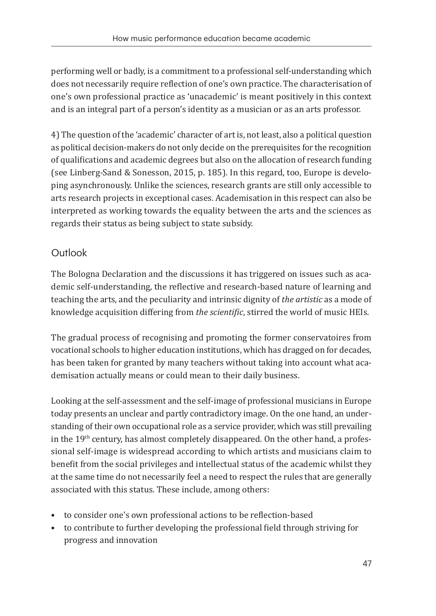performing well or badly, is a commitment to a professional self-understanding which does not necessarily require reflection of one's own practice. The characterisation of one's own professional practice as 'unacademic' is meant positively in this context and is an integral part of a person's identity as a musician or as an arts professor.

4) The question of the 'academic' character of art is, not least, also a political question as political decision-makers do not only decide on the prerequisites for the recognition of qualifications and academic degrees but also on the allocation of research funding (see Linberg-Sand & Sonesson, 2015, p. 185). In this regard, too, Europe is developing asynchronously. Unlike the sciences, research grants are still only accessible to arts research projects in exceptional cases. Academisation in this respect can also be interpreted as working towards the equality between the arts and the sciences as regards their status as being subject to state subsidy.

### Outlook

The Bologna Declaration and the discussions it has triggered on issues such as academic self-understanding, the reflective and research-based nature of learning and teaching the arts, and the peculiarity and intrinsic dignity of *the artistic* as a mode of knowledge acquisition differing from *the scientific*, stirred the world of music HEIs.

The gradual process of recognising and promoting the former conservatoires from vocational schools to higher education institutions, which has dragged on for decades, has been taken for granted by many teachers without taking into account what academisation actually means or could mean to their daily business.

Looking at the self-assessment and the self-image of professional musicians in Europe today presents an unclear and partly contradictory image. On the one hand, an understanding of their own occupational role as a service provider, which was still prevailing in the 19<sup>th</sup> century, has almost completely disappeared. On the other hand, a professional self-image is widespread according to which artists and musicians claim to benefit from the social privileges and intellectual status of the academic whilst they at the same time do not necessarily feel a need to respect the rules that are generally associated with this status. These include, among others:

- to consider one's own professional actions to be reflection-based
- to contribute to further developing the professional field through striving for progress and innovation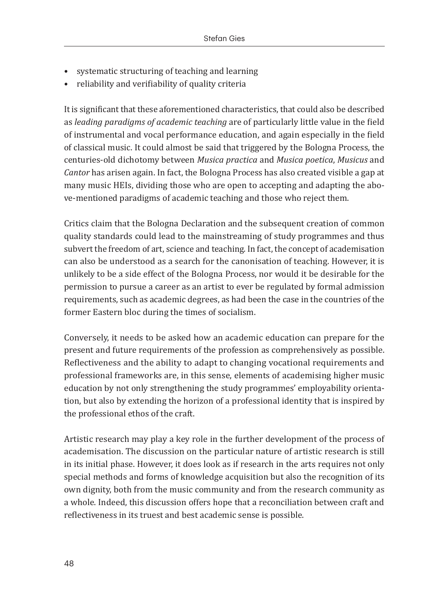- systematic structuring of teaching and learning
- reliability and verifiability of quality criteria

It is significant that these aforementioned characteristics, that could also be described as *leading paradigms of academic teaching* are of particularly little value in the field of instrumental and vocal performance education, and again especially in the field of classical music. It could almost be said that triggered by the Bologna Process, the centuries-old dichotomy between *Musica practica* and *Musica poetica*, *Musicus* and *Cantor* has arisen again. In fact, the Bologna Process has also created visible a gap at many music HEIs, dividing those who are open to accepting and adapting the above-mentioned paradigms of academic teaching and those who reject them.

Critics claim that the Bologna Declaration and the subsequent creation of common quality standards could lead to the mainstreaming of study programmes and thus subvert the freedom of art, science and teaching. In fact, the concept of academisation can also be understood as a search for the canonisation of teaching. However, it is unlikely to be a side effect of the Bologna Process, nor would it be desirable for the permission to pursue a career as an artist to ever be regulated by formal admission requirements, such as academic degrees, as had been the case in the countries of the former Eastern bloc during the times of socialism.

Conversely, it needs to be asked how an academic education can prepare for the present and future requirements of the profession as comprehensively as possible. Reflectiveness and the ability to adapt to changing vocational requirements and professional frameworks are, in this sense, elements of academising higher music education by not only strengthening the study programmes' employability orientation, but also by extending the horizon of a professional identity that is inspired by the professional ethos of the craft.

Artistic research may play a key role in the further development of the process of academisation. The discussion on the particular nature of artistic research is still in its initial phase. However, it does look as if research in the arts requires not only special methods and forms of knowledge acquisition but also the recognition of its own dignity, both from the music community and from the research community as a whole. Indeed, this discussion offers hope that a reconciliation between craft and reflectiveness in its truest and best academic sense is possible.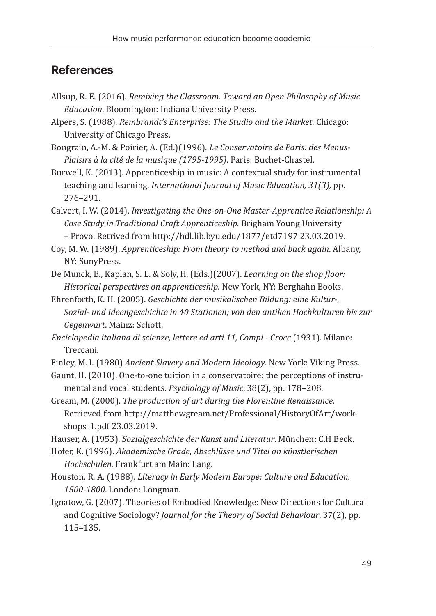### **References**

- Allsup, R. E. (2016). *Remixing the Classroom. Toward an Open Philosophy of Music Education*. Bloomington: Indiana University Press.
- Alpers, S. (1988). *Rembrandt's Enterprise: The Studio and the Market*. Chicago: University of Chicago Press.
- Bongrain, A.-M. & Poirier, A. (Ed.)(1996). *Le Conservatoire de Paris: des Menus-Plaisirs à la cité de la musique (1795-1995)*. Paris: Buchet-Chastel.
- Burwell, K. (2013). Apprenticeship in music: A contextual study for instrumental teaching and learning. *International Journal of Music Education, 31(3),* pp. 276–291.
- Calvert, I. W. (2014). *Investigating the One-on-One Master-Apprentice Relationship: A Case Study in Traditional Craft Apprenticeship.* Brigham Young University – Provo. Retrived from http://hdl.lib.byu.edu/1877/etd7197 23.03.2019.
- Coy, M. W. (1989). *Apprenticeship: From theory to method and back again*. Albany, NY: SunyPress.
- De Munck, B., Kaplan, S. L. & Soly, H. (Eds.)(2007). *Learning on the shop floor: Historical perspectives on apprenticeship*. New York, NY: Berghahn Books.
- Ehrenforth, K. H. (2005). *Geschichte der musikalischen Bildung: eine Kultur-, Sozial- und Ideengeschichte in 40 Stationen; von den antiken Hochkulturen bis zur Gegenwart*. Mainz: Schott.
- *Enciclopedia italiana di scienze, lettere ed arti 11, Compi Crocc* (1931). Milano: Treccani.
- Finley, M. I. (1980) *Ancient Slavery and Modern Ideology*. New York: Viking Press.
- Gaunt, H. (2010). One-to-one tuition in a conservatoire: the perceptions of instrumental and vocal students. *Psychology of Music*, 38(2), pp. 178–208.
- Gream, M. (2000). *The production of art during the Florentine Renaissance.*  Retrieved from http://matthewgream.net/Professional/HistoryOfArt/workshops\_1.pdf 23.03.2019.
- Hauser, A. (1953). *Sozialgeschichte der Kunst und Literatur*. München: C.H Beck.
- Hofer, K. (1996). *Akademische Grade, Abschlüsse und Titel an künstlerischen Hochschulen.* Frankfurt am Main: Lang.
- Houston, R. A. (1988). *Literacy in Early Modern Europe: Culture and Education, 1500-1800*. London: Longman.
- Ignatow, G. (2007). Theories of Embodied Knowledge: New Directions for Cultural and Cognitive Sociology? *Journal for the Theory of Social Behaviour*, 37(2), pp. 115–135.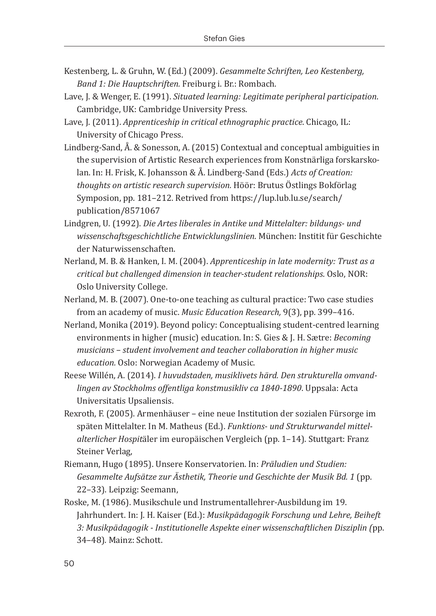- Kestenberg, L. & Gruhn, W. (Ed.) (2009). *Gesammelte Schriften, Leo Kestenberg, Band 1: Die Hauptschriften.* Freiburg i. Br.: Rombach.
- Lave, J. & Wenger, E. (1991). *Situated learning: Legitimate peripheral participation*. Cambridge, UK: Cambridge University Press.
- Lave, J. (2011). *Apprenticeship in critical ethnographic practice*. Chicago, IL: University of Chicago Press.
- Lindberg-Sand, Å. & Sonesson, A. (2015) Contextual and conceptual ambiguities in the supervision of Artistic Research experiences from Konstnärliga forskarskolan. In: H. Frisk, K. Johansson & Å. Lindberg-Sand (Eds.) *Acts of Creation: thoughts on artistic research supervision.* Höör: Brutus Östlings Bokförlag Symposion, pp. 181–212. Retrived from https://lup.lub.lu.se/search/ publication/8571067
- Lindgren, U. (1992). *Die Artes liberales in Antike und Mittelalter: bildungs- und wissenschaftsgeschichtliche Entwicklungslinien*. München: Institit für Geschichte der Naturwissenschaften.
- Nerland, M. B. & Hanken, I. M. (2004). *Apprenticeship in late modernity: Trust as a critical but challenged dimension in teacher-student relationships*. Oslo, NOR: Oslo University College.
- Nerland, M. B. (2007). One-to-one teaching as cultural practice: Two case studies from an academy of music. *Music Education Research,* 9(3), pp. 399–416.
- Nerland, Monika (2019). Beyond policy: Conceptualising student-centred learning environments in higher (music) education. In: S. Gies & J. H. Sætre: *Becoming musicians – student involvement and teacher collaboration in higher music education.* Oslo: Norwegian Academy of Music.
- Reese Willén, A. (2014). *I huvudstaden, musiklivets härd. Den strukturella omvandlingen av Stockholms offentliga konstmusikliv ca 1840-1890*. Uppsala: Acta Universitatis Upsaliensis.
- Rexroth, F. (2005). Armenhäuser eine neue Institution der sozialen Fürsorge im späten Mittelalter. In M. Matheus (Ed.). *Funktions- und Strukturwandel mittelalterlicher Hospit*äler im europäischen Vergleich (pp. 1–14). Stuttgart: Franz Steiner Verlag,
- Riemann, Hugo (1895). Unsere Konservatorien. In: *Präludien und Studien: Gesammelte Aufsätze zur Ästhetik, Theorie und Geschichte der Musik Bd. 1* (pp. 22–33). Leipzig: Seemann,
- Roske, M. (1986). Musikschule und Instrumentallehrer-Ausbildung im 19. Jahrhundert. In: J. H. Kaiser (Ed.): *Musikpädagogik Forschung und Lehre, Beiheft 3: Musikpädagogik - Institutionelle Aspekte einer wissenschaftlichen Disziplin (*pp. 34–48)*.* Mainz: Schott.